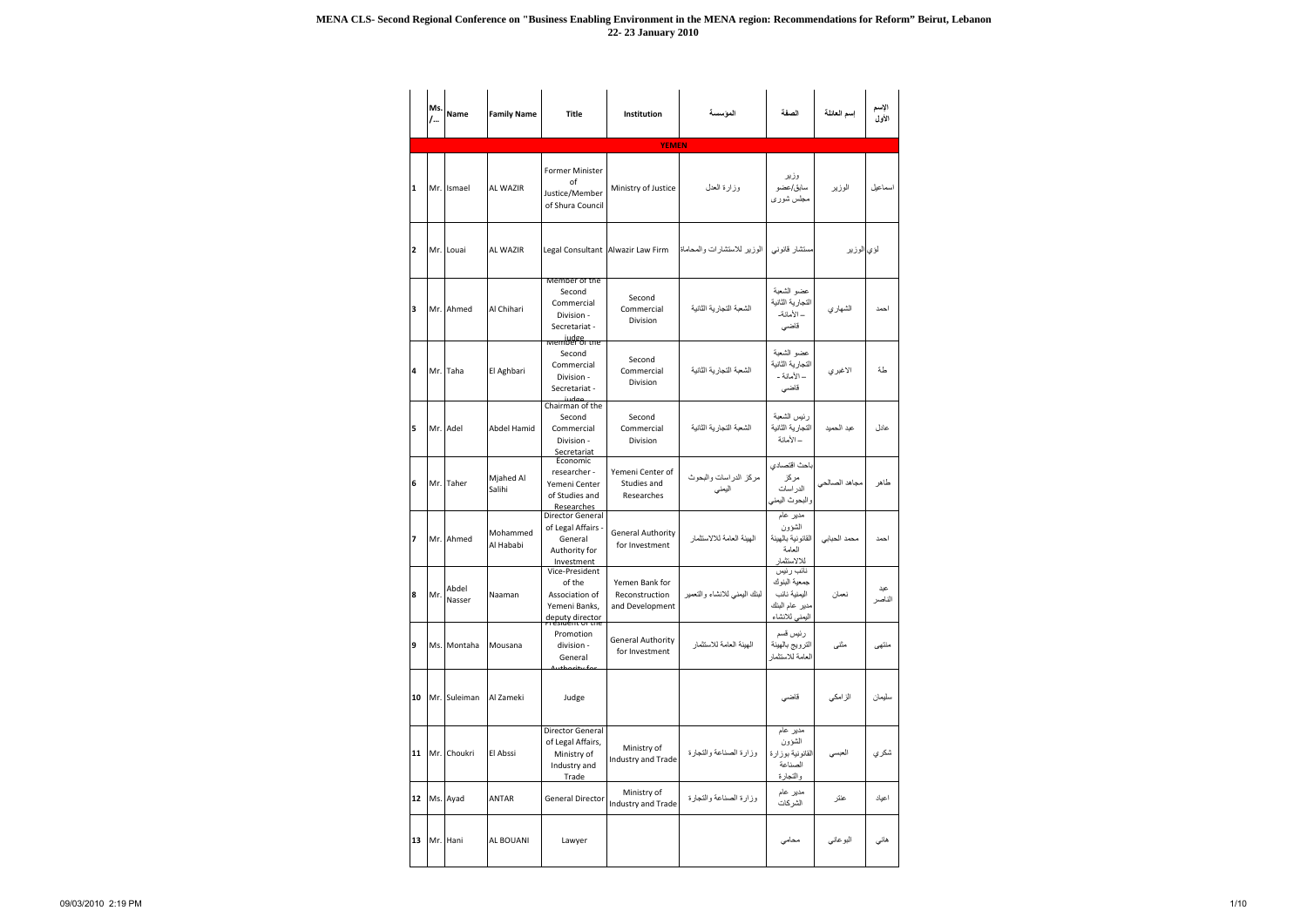|                | Ms.<br>/ | <b>Name</b>     | <b>Family Name</b>    | <b>Title</b>                                                                            | <b>Institution</b>                                  | المؤسسة                         | الصفة                                                                         | إسم العائلة   | الإسم<br>الأول |
|----------------|----------|-----------------|-----------------------|-----------------------------------------------------------------------------------------|-----------------------------------------------------|---------------------------------|-------------------------------------------------------------------------------|---------------|----------------|
|                |          |                 |                       |                                                                                         | <b>YEMEN</b>                                        |                                 |                                                                               |               |                |
| 1              |          | Mr. Ismael      | <b>AL WAZIR</b>       | <b>Former Minister</b><br>οf<br>Justice/Member<br>of Shura Council                      | Ministry of Justice                                 | وزارة العدل                     | وزير<br>سابق/عضو<br>مجلس شورى                                                 | الوزير        | اسماعيل        |
| $\overline{2}$ |          | Mr. Louai       | <b>AL WAZIR</b>       |                                                                                         | Legal Consultant Alwazir Law Firm                   | الوزير للاستشارات والمحاماة     | مستشار قانونبي                                                                | لؤي الوزير    |                |
| 3              |          | Mr. Ahmed       | Al Chihari            | Member of the<br>Second<br>Commercial<br>Division -<br>Secretariat -<br>wember of the   | Second<br>Commercial<br>Division                    | الشعبة التجار بة الثانبة        | عضو الشعبة<br>التجارية الثانية<br>– الأمانة-<br>قاضى                          | الشهاري       | احمد           |
| 4              |          | Mr. Taha        | El Aghbari            | Second<br>Commercial<br>Division -<br>Secretariat -<br>مواسن                            | Second<br>Commercial<br>Division                    | الشعبة التجار بة الثانية        | عضو الشعبة<br>التجارية الثانية<br>– الأمانة -<br>قاضى                         | الاغبرى       | طة             |
| 5              |          | Mr. Adel        | <b>Abdel Hamid</b>    | Chairman of the<br>Second<br>Commercial<br>Division -<br>Secretariat                    | Second<br>Commercial<br>Division                    | الشعبة التجار بة الثانية        | رئيس الشعبة<br>التجارية الثانية<br>– الأمانة                                  | عبد الحميد    | عادل           |
| 6              |          | Mr. Taher       | Mjahed Al<br>Salihi   | Economic<br>researcher -<br>Yemeni Center<br>of Studies and<br>Researches               | Yemeni Center of<br>Studies and<br>Researches       | مركز الدراسات والبحوث<br>اليمنى | باحث اقتصادي<br>مركز<br>الدراسات<br>والبحوث اليمني                            | مجاهد الصالحي | طاهر           |
| 7              |          | Mr. Ahmed       | Mohammed<br>Al Hababi | <b>Director General</b><br>of Legal Affairs -<br>General<br>Authority for<br>Investment | <b>General Authority</b><br>for Investment          | الهيئة العامة للالاستثمار       | مدیر عام<br>الشؤون<br>القانو نية بالهيئة<br>العامة<br>للالاستثمار             | محمد الحبابى  | احمد           |
| 8              | Mr.      | Abdel<br>Nasser | Naaman                | Vice-President<br>of the<br>Association of<br>Yemeni Banks,<br>deputy director          | Yemen Bank for<br>Reconstruction<br>and Development | لبنك اليمنى للانشاء والتعمير    | نائب رئيس<br>جمعية البنوك<br>اليمنية نائب<br>مدير عام البنك<br>اليمنى للانشاء | نعمان         | عبد<br>الناصر  |
| 9              |          | Ms. Montaha     | Mousana               | Promotion<br>division -<br>General                                                      | <b>General Authority</b><br>for Investment          | الهبئة العامة للاستثمار         | رئيس قسم<br>الترويج بالهيئة<br>العامة للاستثمار                               | مثنى          | منتهى          |
| 10             |          | Mr. Suleiman    | Al Zameki             | Judge                                                                                   |                                                     |                                 | قاضي                                                                          | الزامكي       | سليمان         |
| 11             |          | Mr. Choukri     | El Abssi              | Director General<br>of Legal Affairs,<br>Ministry of<br>Industry and<br>Trade           | Ministry of<br>Industry and Trade                   | وزارة الصناعة والتجارة          | مدير عام<br>الشؤون<br>القانونية بوزارة<br>الصناعة<br>والتجارة                 | العبسى        | شكري           |
| 12             |          | Ms. Ayad        | ANTAR                 | General Director                                                                        | Ministry of<br>Industry and Trade                   | وزارة الصناعة والتجارة          | مدير عام<br>الشركات                                                           | عنتر          | اعياد          |
| 13             |          | Mr. Hani        | <b>AL BOUANI</b>      | Lawyer                                                                                  |                                                     |                                 | محامى                                                                         | البوعاني      | هانی           |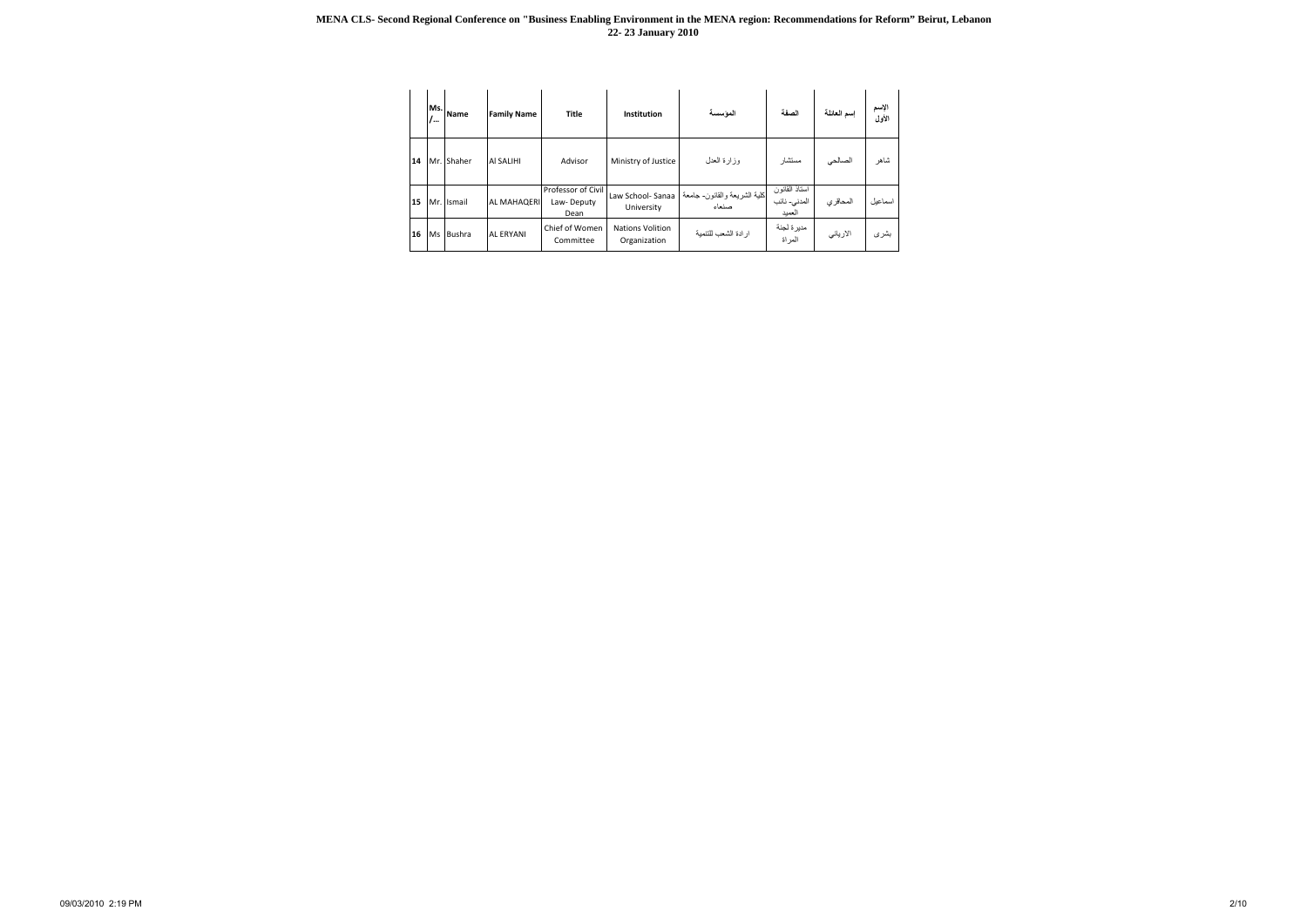|    | ۱  | Ms. Name   | <b>Family Name</b> | <b>Title</b>                             | Institution                             | المؤسسة                               | الصفة                                    | إسم العائلة | الإسم<br>الأول |
|----|----|------------|--------------------|------------------------------------------|-----------------------------------------|---------------------------------------|------------------------------------------|-------------|----------------|
| 14 |    | Mr. Shaher | <b>AI SALIHI</b>   | Advisor                                  | Ministry of Justice                     | وزارة العدل                           | مستشار                                   | الصالحي     | شاهر           |
| 15 |    | Mr. Ismail | <b>AL MAHAQERI</b> | Professor of Civil<br>Law-Deputy<br>Dean | Law School- Sanaa<br>University         | كلية الشريعة والقانون- جامعة<br>صنعاء | استاذ المقانون<br>المدنى- نائب<br>العميد | المحاقر ي   | اسماعيل        |
| 16 | Ms | Bushra     | <b>AL ERYANI</b>   | Chief of Women<br>Committee              | <b>Nations Volition</b><br>Organization | ارادة الشعب للتنمية                   | مديرة لجنة<br>المراة                     | الارياني    | بشرى           |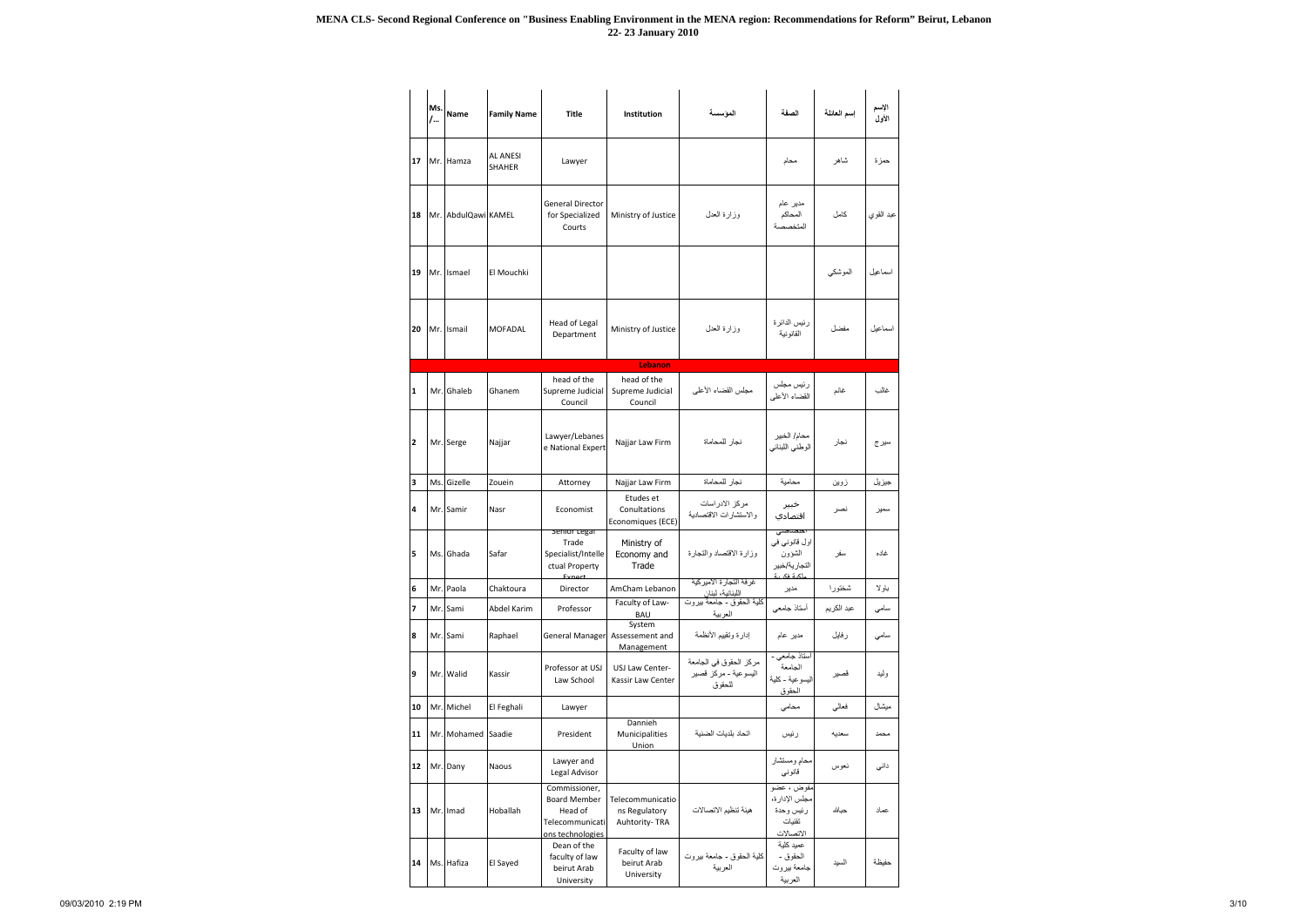|                | Ms.<br>/ | <b>Name</b>         | <b>Family Name</b>               | <b>Title</b>                                                                           | Institution                                        | الموسسة                                                  | الصفة                                                                | إسم العائلة | الإسم<br>الأول |
|----------------|----------|---------------------|----------------------------------|----------------------------------------------------------------------------------------|----------------------------------------------------|----------------------------------------------------------|----------------------------------------------------------------------|-------------|----------------|
| 17             |          | Mr. Hamza           | <b>AL ANESI</b><br><b>SHAHER</b> | Lawyer                                                                                 |                                                    |                                                          | محام                                                                 | شاهر        | حمزة           |
| 18             |          | Mr. AbdulQawi KAMEL |                                  | <b>General Director</b><br>for Specialized<br>Courts                                   | Ministry of Justice                                | وزارة العدل                                              | مدیر عام<br>المحاكم<br>المتخصصة                                      | كامل        | عبد القوي      |
| 19             |          | Mr. Ismael          | El Mouchki                       |                                                                                        |                                                    |                                                          |                                                                      | الموشكى     | اسماعيل        |
| 20             |          | Mr. Ismail          | <b>MOFADAL</b>                   | Head of Legal<br>Department                                                            | Ministry of Justice                                | وزارة العدل                                              | رئيس الدائر ة<br>القانونية                                           | مفضل        | اسماعيل        |
|                |          |                     |                                  |                                                                                        | Lebanon                                            |                                                          |                                                                      |             |                |
| $\mathbf{1}$   |          | Mr. Ghaleb          | Ghanem                           | head of the<br>Supreme Judicial<br>Council                                             | head of the<br>Supreme Judicial<br>Council         | مجلس القضاء الأعلمي                                      | رئيس مجلس<br>القضاء الأعلى                                           | غانم        | غالب           |
| $\overline{2}$ |          | Mr. Serge           | Najjar                           | Lawyer/Lebanes<br>e National Expert                                                    | Najjar Law Firm                                    | نجار للمحاماة                                            | محام/ الخبير<br>الوطني اللبناني                                      | نجار        | سير ج          |
| 3              |          | Ms. Gizelle         | Zouein                           | Attorney                                                                               | Najjar Law Firm                                    | نجار للمحاماة                                            | محامية                                                               | زوين        | جيزيل          |
| 4              |          | Mr. Samir           | Nasr                             | Economist                                                                              | Etudes et<br>Conultations<br>Economiques (ECE)     | مركز الادراسات<br>والاستشارات الاقتصادية                 | خبير<br>اقتصادي                                                      | نصر         | سمير           |
| 5              |          | Ms. Ghada           | Safar                            | Senior Legai<br>Trade<br>Specialist/Intelle<br>ctual Property<br>Evnort                | Ministry of<br>Economy and<br>Trade                | وزارة الاقتصاد والتجارة                                  | احلصناصتى<br>اول قانوني في<br>الشؤون<br>التجار ية/خبير<br>لكرة فكررة | سفر         | غاده           |
| 6              |          | Mr. Paola           | Chaktoura                        | Director                                                                               | AmCham Lebanon                                     | غر فه التجار ة الامير كيه                                | مدير                                                                 | شختورا      | باولا          |
| 7              |          | Mr. Sami            | Abdel Karim                      | Professor                                                                              | Faculty of Law-<br>BAU                             | اللبنانية، لبنان<br>كلية الحقوق - جامعة بيروت<br>العربية | أستاذ جامعي                                                          | عبد الكريم  | سامى           |
| 8              |          | Mr. Sami            | Raphael                          | <b>General Manager</b>                                                                 | System<br>Assessement and<br>Management            | إدارة وتقييم الأنظمة                                     | مدير عام                                                             | رفايل       | سامی           |
| 9              |          | Mr. Walid           | Kassir                           | Professor at USJ<br>Law School                                                         | USJ Law Center-<br>Kassir Law Center               | مركز الحقوق في الجامعة<br>اليسوعية - مركز قصير<br>للحقوق | أستاذ جامعي -<br>الجامعة<br>اليسوعية - كلية<br>الحقوق                | قصير        | وليد           |
| 10             |          | Mr. Michel          | El Feghali                       | Lawyer                                                                                 |                                                    |                                                          | محامي                                                                | فعالى       | ميشال          |
| 11             |          | Mr. Mohamed Saadie  |                                  | President                                                                              | Dannieh<br>Municipalities<br>Union                 | اتحاد بلديات الضنية                                      | رئيس                                                                 | سعديه       | محمد           |
| 12             |          | Mr. Dany            | Naous                            | Lawyer and<br>Legal Advisor                                                            |                                                    |                                                          | محام ومستشار<br>قانوني                                               | نعوس        | دانی           |
| 13             |          | Mr. Imad            | Hoballah                         | Commissioner,<br><b>Board Member</b><br>Head of<br>Telecommunicati<br>ons technologies | Telecommunicatio<br>ns Regulatory<br>Auhtority-TRA | هيئة تنظيم الاتصالات                                     | مفوض ، عضو<br>مجلس الإدارة،<br>رئيس وحدة<br>تقنيات<br>الاتصالات      | حباشه       | عماد           |
| 14             |          | Ms. Hafiza          | El Sayed                         | Dean of the<br>faculty of law<br>beirut Arab<br>University                             | Faculty of law<br>beirut Arab<br>University        | كلية الحقوق - جامعة بيروت<br>العربية                     | عميد كلية<br>الحقوق -<br>جامعة بيروت<br>العربية                      | السيد       | حفيظة          |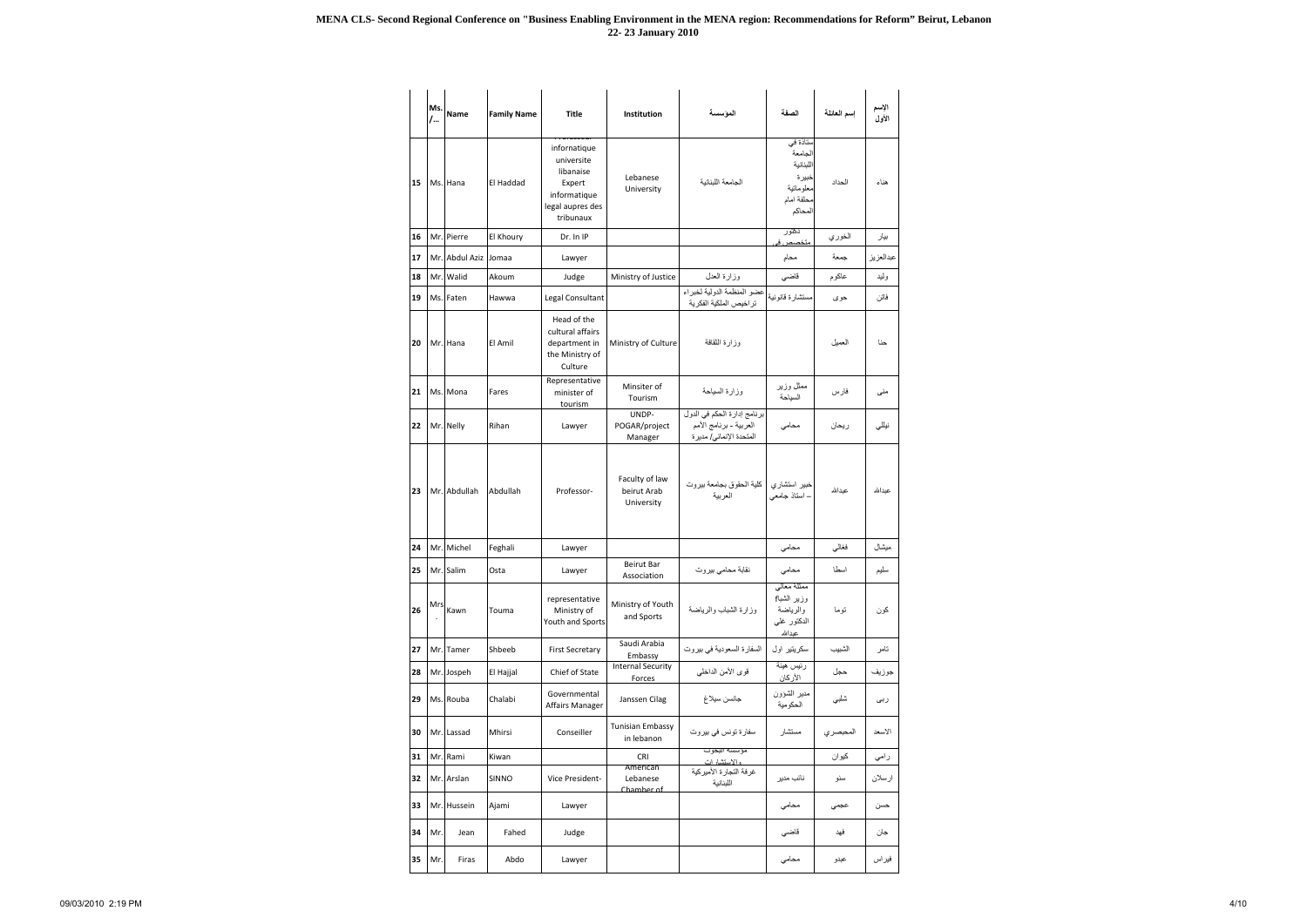|    | Ms.<br>$/$ | <b>Name</b>          | <b>Family Name</b> | Title                                                                                              | Institution                                 | الموسسة                                                                          | الصفة                                                                           | إسم العائلة | الإسم<br>الأول |
|----|------------|----------------------|--------------------|----------------------------------------------------------------------------------------------------|---------------------------------------------|----------------------------------------------------------------------------------|---------------------------------------------------------------------------------|-------------|----------------|
| 15 |            | Ms. Hana             | El Haddad          | infornatique<br>universite<br>libanaise<br>Expert<br>informatique<br>legal aupres des<br>tribunaux | Lebanese<br>University                      | الجامعة اللبنانية                                                                | ستاذة في<br>الجامعة<br>اللبنانية<br>خبيرة<br>معلوماتية<br>محلفة امام<br>المحاكم | الحداد      | هناء           |
| 16 |            | Mr. Pierre           | El Khoury          | Dr. In IP                                                                                          |                                             |                                                                                  | نكتور<br>متخصص فے                                                               | الخوري      | بيار           |
| 17 |            | Mr. Abdul Aziz Jomaa |                    | Lawyer                                                                                             |                                             |                                                                                  | محام                                                                            | جمعة        | عبدالعزيز      |
| 18 |            | Mr. Walid            | Akoum              | Judge                                                                                              | Ministry of Justice                         | وزارة العدل                                                                      | قاضي                                                                            | عاكوم       | وليد           |
| 19 |            | Ms. Faten            | Hawwa              | Legal Consultant                                                                                   |                                             | عضو المنظمة الدولية لخبراء<br>تر اخيص الملكية الفكرية                            | مستشارة قانونية                                                                 | حوى         | فاتن           |
| 20 |            | Mr. Hana             | El Amil            | Head of the<br>cultural affairs<br>department in<br>the Ministry of<br>Culture                     | Ministry of Culture                         | وزارة الثقافة                                                                    |                                                                                 | العميل      | حنا            |
| 21 |            | Ms. Mona             | Fares              | Representative<br>minister of<br>tourism                                                           | Minsiter of<br>Tourism                      | وزارة السياحة                                                                    | ممثل وزير<br>السياحة                                                            | فارس        | منی            |
| 22 |            | Mr. Nelly            | Rihan              | Lawyer                                                                                             | UNDP-<br>POGAR/project<br>Manager           | برنامج إدارة الحكم في الدول<br>العربية - برنامج الأمم<br>المتحدة الإنمائي/ مديرة | محامى                                                                           | ريحان       | نبللي          |
| 23 |            | Mr. Abdullah         | Abdullah           | Professor-                                                                                         | Faculty of law<br>beirut Arab<br>University | كلية الحقوق بجامعة بيروت<br>العربية                                              | خبير استشاري<br>- استاذ جامعي                                                   | عيدالله     | عبدالله        |
| 24 |            | Mr. Michel           | Feghali            | Lawyer                                                                                             |                                             |                                                                                  | محامى                                                                           | فغالى       | ميشال          |
| 25 |            | Mr. Salim            | Osta               | Lawyer                                                                                             | Beirut Bar<br>Association                   | نقابة محامي بيروت                                                                | محامي                                                                           | اسطا        | سليم           |
| 26 | Mrs        | Kawn                 | Touma              | representative<br>Ministry of<br>Youth and Sports                                                  | Ministry of Youth<br>and Sports             | وزارة الشباب والرياضة                                                            | ممثلة معالى<br>وزير الشبا <del>]</del><br>والرياضة<br>الدكتور غلي<br>عبدالله    | توما        | كون            |
| 27 | Mr.        | Tamer                | Shbeeb             | <b>First Secretary</b>                                                                             | Saudi Arabia<br>Embassy                     | السفارة السعودية في بيروت                                                        | سکریتیر اول                                                                     | الشبيب      | تامر           |
| 28 |            | Mr. Jospeh           | El Hajjal          | Chief of State                                                                                     | <b>Internal Security</b><br>Forces          | قوى الأمن الداخلي                                                                | رئيس هيئة<br>الأرك <u>ان</u>                                                    | حجل         | جوزيف          |
| 29 |            | Ms. Rouba            | Chalabi            | Governmental<br><b>Affairs Manager</b>                                                             | Janssen Cilag                               | جانسن سيلاغ                                                                      | مدير الشؤون<br>الحكومية                                                         | شلبي        | ربى            |
| 30 |            | Mr. Lassad           | Mhirsi             | Conseiller                                                                                         | <b>Tunisian Embassy</b><br>in lebanon       | سفار ة تونس في بير وت                                                            | مستشار                                                                          | المحبصري    | الاسعد         |
| 31 |            | Mr. Rami             | Kiwan              |                                                                                                    | <b>CRI</b><br>American                      | مؤسسه البحوت<br>، الاستشار ات                                                    |                                                                                 | كيوان       | رامي           |
| 32 |            | Mr. Arslan           | <b>SINNO</b>       | Vice President-                                                                                    | Lebanese<br>Chamber of                      | غرفة التجارة الأميركية<br>اللبنانية                                              | نائب مدير                                                                       | سنو         | ارسلان         |
| 33 |            | Mr. Hussein          | Ajami              | Lawyer                                                                                             |                                             |                                                                                  | محامي                                                                           | عجمى        | حسن            |
| 34 | Mr.        | Jean                 | Fahed              | Judge                                                                                              |                                             |                                                                                  | قاضى                                                                            | فهد         | جان            |
| 35 | Mr.        | Firas                | Abdo               | Lawyer                                                                                             |                                             |                                                                                  | محامى                                                                           | عبدو        | فيراس          |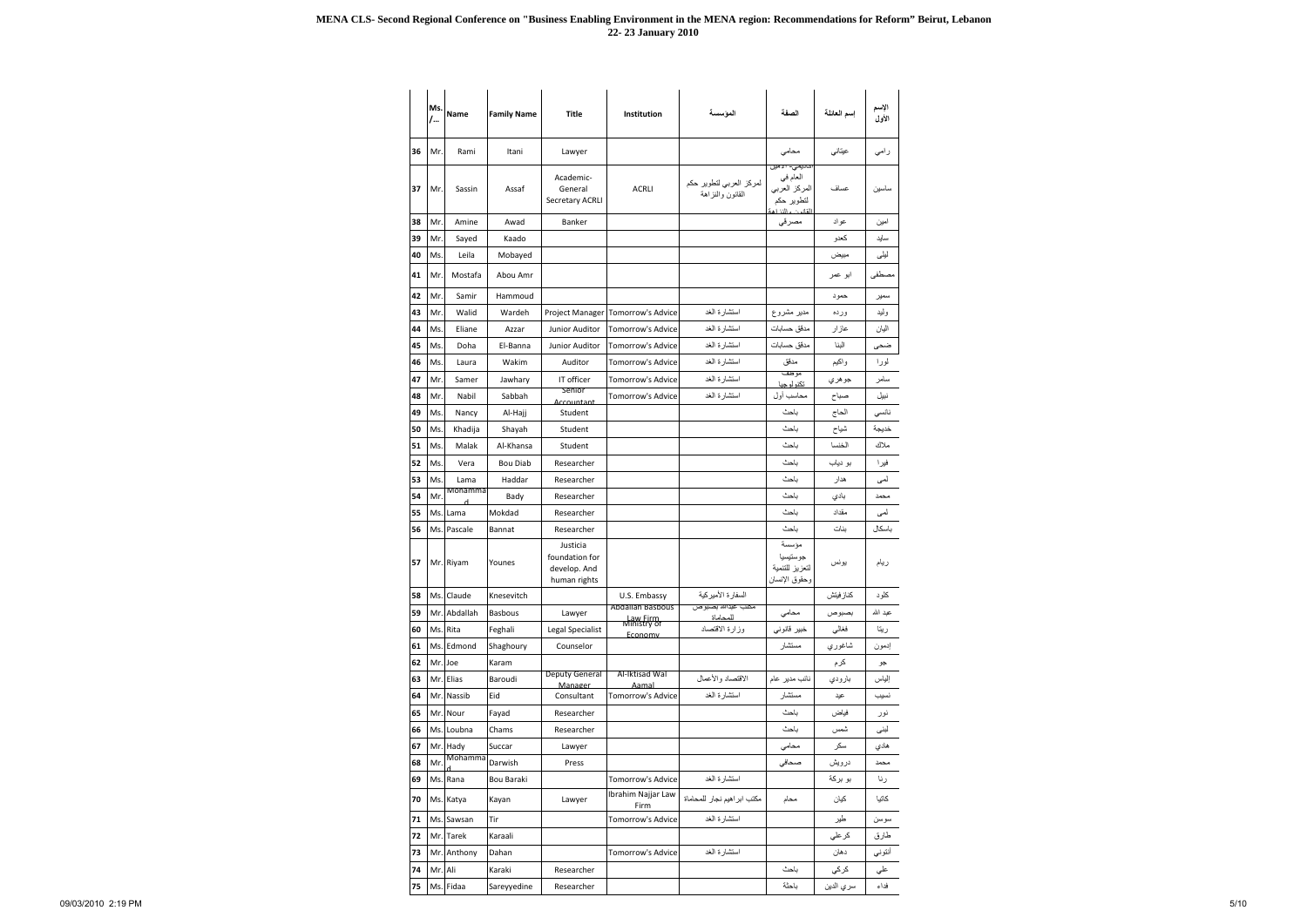|    | Ms.<br>/ | <b>Name</b>  | <b>Family Name</b> | <b>Title</b>                                               | Institution                                        | الموسسة                                     | الصفة                                                                                   | إسم العائلة | الإسم<br>الأول |
|----|----------|--------------|--------------------|------------------------------------------------------------|----------------------------------------------------|---------------------------------------------|-----------------------------------------------------------------------------------------|-------------|----------------|
| 36 | Mr.      | Rami         | Itani              | Lawyer                                                     |                                                    |                                             | محامى                                                                                   | عيتاني      | رامی           |
| 37 | Mr.      | Sassin       | Assaf              | Academic-<br>General<br><b>Secretary ACRLI</b>             | <b>ACRLI</b>                                       | لمركز العربي لتطوير حكم<br>القانون والنزاهة | احاتي <i>مي</i> - 21 ميل<br>العام في<br>المركز العربي<br>لتطوير حكم<br>القانعان والززار | عساف        | ساسين          |
| 38 | Mr.      | Amine        | Awad               | Banker                                                     |                                                    |                                             | مصرقى                                                                                   | عواد        | امين           |
| 39 | Mr.      | Sayed        | Kaado              |                                                            |                                                    |                                             |                                                                                         | كعدو        | سايد           |
| 40 | Ms.      | Leila        | Mobayed            |                                                            |                                                    |                                             |                                                                                         | مبيض        | ليلى           |
| 41 | Mr.      | Mostafa      | Abou Amr           |                                                            |                                                    |                                             |                                                                                         | ابو عمر     | مصطفى          |
| 42 | Mr.      | Samir        | Hammoud            |                                                            |                                                    |                                             |                                                                                         | حمود        | سمير           |
| 43 | Mr.      | Walid        | Wardeh             |                                                            | Project Manager Tomorrow's Advice                  | استشارة الغد                                | مدبر مشروع                                                                              | ورده        | وليد           |
| 44 | Ms.      | Eliane       | Azzar              | Junior Auditor                                             | Tomorrow's Advice                                  | استشارة الغد                                | مدقق حسابات                                                                             | عازار       | اليان          |
| 45 | Ms.      | Doha         | El-Banna           | Junior Auditor                                             | Tomorrow's Advice                                  | استشارة الغد                                | مدقق حسابات                                                                             | البنا       | ضحى            |
| 46 | Ms.      | Laura        | Wakim              | Auditor                                                    | <b>Tomorrow's Advice</b>                           | استشارة الغد                                | مدقق                                                                                    | واكيم       | لورا           |
| 47 | Mr.      | Samer        | Jawhary            | IT officer                                                 | <b>Tomorrow's Advice</b>                           | استشارة الغد                                | موظف<br>تكنو لو حيا                                                                     | جو هر ي     | سامر           |
| 48 | Mr.      | Nabil        | Sabbah             | Senior<br>Accountant                                       | Tomorrow's Advice                                  | استشارة الغد                                | محاسب أول                                                                               | صباح        | نبيل           |
| 49 | Ms.      | Nancy        | Al-Hajj            | Student                                                    |                                                    |                                             | باحث                                                                                    | الحاج       | نانسي          |
| 50 | Ms.      | Khadija      | Shayah             | Student                                                    |                                                    |                                             | باحث                                                                                    | شياح        | خديجة          |
| 51 | Ms.      | Malak        | Al-Khansa          | Student                                                    |                                                    |                                             | باحث                                                                                    | الخنسا      | ملاك           |
| 52 | Ms.      | Vera         | <b>Bou Diab</b>    | Researcher                                                 |                                                    |                                             | ياحث                                                                                    | بو دیاب     | فيرا           |
| 53 | Ms.      | Lama         | Haddar             | Researcher                                                 |                                                    |                                             | ياحث                                                                                    | هدار        | لمى            |
| 54 | Mr.      | Mohamma      | Bady               | Researcher                                                 |                                                    |                                             | ياحث                                                                                    | بادى        | محمد           |
| 55 | Ms.      | Lama         | Mokdad             | Researcher                                                 |                                                    |                                             | ياحث                                                                                    | مقداد       | لمی            |
| 56 |          | Ms. Pascale  | <b>Bannat</b>      | Researcher                                                 |                                                    |                                             | باحث                                                                                    | بنات        | باسكال         |
| 57 |          | Mr. Riyam    | Younes             | Justicia<br>foundation for<br>develop. And<br>human rights |                                                    |                                             | مؤسسة<br>جوستيسيا<br>لتعزيز للتنمية<br>وحقوق الإنسان                                    | يونس        | ريام           |
| 58 |          | Ms. Claude   | Knesevitch         |                                                            | U.S. Embassy                                       | السفار ة الأمير كية                         |                                                                                         | كناز فيتش   | كلود           |
| 59 |          | Mr. Abdallah | <b>Basbous</b>     | Lawyer                                                     | <b>Abdallah Basbous</b><br>Law Firm<br>Ministry of | مكتب عبدالله بصبوص<br>للمحاماة              | محامي                                                                                   | بصبوص       | عبد الله       |
| 60 |          | Ms. Rita     | Feghali            | <b>Legal Specialist</b>                                    | <b>Fconomy</b>                                     | وزارة الاقتصاد                              | خبير قانوني                                                                             | فغالي       | ريتا           |
| 61 |          | Ms. Edmond   | Shaghoury          | Counselor                                                  |                                                    |                                             | مستشار                                                                                  | شاغوري      | إدمون          |
| 62 | Mr. Joe  |              | Karam              |                                                            |                                                    |                                             |                                                                                         | کرم         | جو             |
| 63 |          | Mr. Elias    | Baroudi            | <b>Deputy General</b><br>Manager                           | Al-Iktisad Wal<br>Aamal                            | الاقتصاد والأعمال                           | نائب مدير عام                                                                           | بارودي      | إلياس          |
| 64 |          | Mr. Nassib   | Eid                | Consultant                                                 | <b>Tomorrow's Advice</b>                           | استشار ة الغد                               | مستشار                                                                                  | عيد         | نسيب           |
| 65 |          | Mr. Nour     | Fayad              | Researcher                                                 |                                                    |                                             | باحث                                                                                    | فياض        | نور            |
| 66 |          | Ms. Loubna   | Chams              | Researcher                                                 |                                                    |                                             | ياحث                                                                                    | شمس         | لبنى           |
| 67 |          | Mr. Hady     | Succar             | Lawyer                                                     |                                                    |                                             | محامى                                                                                   | سكر         | هادي           |
| 68 | Mr.      | Mohamma      | Darwish            | Press                                                      |                                                    |                                             | صحافي                                                                                   | درويش       | محمد           |
| 69 |          | Ms. Rana     | Bou Baraki         |                                                            | Tomorrow's Advice                                  | استشارة الغد                                |                                                                                         | بو بركة     | رنا            |
| 70 |          | Ms. Katya    | Kayan              | Lawyer                                                     | Ibrahim Najjar Law<br>Firm                         | مكتب ابر اهيم نجار للمحاماة                 | محام                                                                                    | كيان        | كاتيا          |
| 71 |          | Ms. Sawsan   | Tir                |                                                            | Tomorrow's Advice                                  | استشارة الغد                                |                                                                                         | طير         | سوسن           |
| 72 |          | Mr. Tarek    | Karaali            |                                                            |                                                    |                                             |                                                                                         | كر على      | طارق           |
| 73 |          | Mr. Anthony  | Dahan              |                                                            | Tomorrow's Advice                                  | استشارة الغد                                |                                                                                         | دهان        | أنتوني         |
| 74 | Mr. Ali  |              | Karaki             | Researcher                                                 |                                                    |                                             | باحث                                                                                    | كركي        | علي            |
| 75 |          | Ms. Fidaa    | Sareyyedine        | Researcher                                                 |                                                    |                                             | باحثة                                                                                   | سري الدين   | فداء           |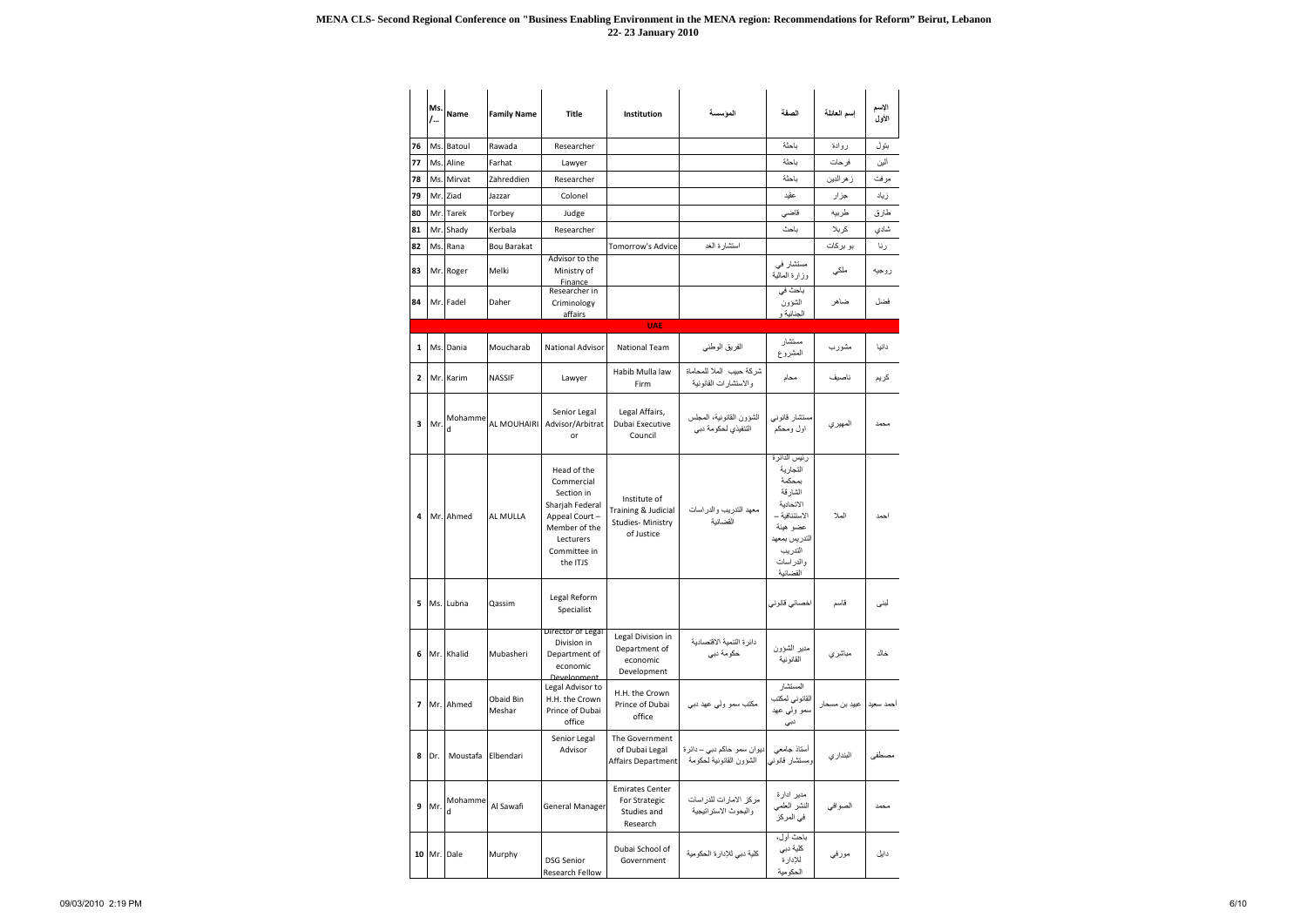|                | Ms.<br>/ | Name         | <b>Family Name</b>  | Title                                                                                                                                 | Institution                                                           | المؤسسة                                               | الصفة                                                                                                                                          | إسم العائلة               | الإسم<br>الأول |
|----------------|----------|--------------|---------------------|---------------------------------------------------------------------------------------------------------------------------------------|-----------------------------------------------------------------------|-------------------------------------------------------|------------------------------------------------------------------------------------------------------------------------------------------------|---------------------------|----------------|
| 76             |          | Ms. Batoul   | Rawada              | Researcher                                                                                                                            |                                                                       |                                                       | باحثة                                                                                                                                          | روادة                     | بتول           |
| 77             |          | Ms. Aline    | Farhat              | Lawyer                                                                                                                                |                                                                       |                                                       | باحثة                                                                                                                                          | فرحات                     | ألين           |
| 78             |          | Ms. Mirvat   | Zahreddien          | Researcher                                                                                                                            |                                                                       |                                                       | باحثة                                                                                                                                          | ز هر الدين                | مرفت           |
| 79             |          | Mr. Ziad     | Jazzar              | Colonel                                                                                                                               |                                                                       |                                                       | عقيد                                                                                                                                           | جزار                      | زياد           |
| 80             |          | Mr. Tarek    | Torbey              | Judge                                                                                                                                 |                                                                       |                                                       | قاضي                                                                                                                                           | طربيه                     | طارق           |
| 81             |          | Mr. Shady    | Kerbala             | Researcher                                                                                                                            |                                                                       |                                                       | ياحث                                                                                                                                           | كربلا                     | شادي           |
| 82             |          | Ms. Rana     | <b>Bou Barakat</b>  |                                                                                                                                       | <b>Tomorrow's Advice</b>                                              | استشار ة الغد                                         |                                                                                                                                                | بو بركات                  | رنا            |
| 83             |          | Mr. Roger    | Melki               | Advisor to the<br>Ministry of<br>Finance                                                                                              |                                                                       |                                                       | مستشار في<br>وزارة المالية                                                                                                                     | ملكي                      | روجيه          |
| 84             |          | Mr. Fadel    | Daher               | Researcher in<br>Criminology<br>affairs                                                                                               |                                                                       |                                                       | باحث في<br>الشؤون<br>الجنائية و                                                                                                                | ضاهر                      | فضل            |
|                |          |              |                     |                                                                                                                                       | <b>UAE</b>                                                            |                                                       |                                                                                                                                                |                           |                |
| 1              |          | Ms. Dania    | Moucharab           | <b>National Advisor</b>                                                                                                               | <b>National Team</b>                                                  | الفريق الوطني                                         | مستشار<br>المشروع                                                                                                                              | مشورب                     | دانيا          |
| $\overline{2}$ |          | Mr. Karim    | <b>NASSIF</b>       | Lawyer                                                                                                                                | Habib Mulla law<br>Firm                                               | شركة حبيب الملا للمحاماة<br>و الاستشار ات القانو نبة  | محام                                                                                                                                           | ناصيف                     | كريم           |
| 3              | Mr.      | Mohamme<br>d | AL MOUHAIRI         | Senior Legal<br>Advisor/Arbitrat<br>or                                                                                                | Legal Affairs,<br>Dubai Executive<br>Council                          | الشؤون القانونية، المجلس<br>التنفيذي لحكومة دبي       | مستشار قانوني<br>اول ومحكم                                                                                                                     | المهير ي                  | محمد           |
| 4              |          | Mr. Ahmed    | AL MULLA            | Head of the<br>Commercial<br>Section in<br>Sharjah Federal<br>Appeal Court-<br>Member of the<br>Lecturers<br>Committee in<br>the ITJS | Institute of<br>Training & Judicial<br>Studies-Ministry<br>of Justice | معهد التدريب والدراسات<br>القضائبة                    | رئيس الدائرة<br>التجارية<br>بمحكمة<br>الشار قة<br>الاتحادية<br>الاستئنافية –<br>عضو هبئة<br>التدريس بمعهد<br>التدريب<br>والدر اسات<br>القضائبة | الملا                     | احمد           |
| 5.             |          | Ms. Lubna    | Qassim              | Legal Reform<br>Specialist                                                                                                            |                                                                       |                                                       | اخصائي قانوني                                                                                                                                  | قاسم                      | لبنى           |
| 6              |          | Mr. Khalid   | Mubasheri           | Director of Legal<br>Division in<br>Department of<br>economic<br><b>Develonment</b>                                                   | Legal Division in<br>Department of<br>economic<br>Development         | دائرة التنمية الاقتصادية<br>حكومة دبي                 | مدير الشؤون<br>القانونية                                                                                                                       | مباشري                    | خالد           |
|                |          | 7 Mr. Ahmed  | Obaid Bin<br>Meshar | Legal Advisor to<br>H.H. the Crown<br>Prince of Dubai<br>office                                                                       | H.H. the Crown<br>Prince of Dubai<br>office                           | مكتب سمو ولي عهد دبي                                  | المستشار<br>القانوني لمكتب<br>سمو ولي عهد<br>دبي                                                                                               | أحمد سعيد   عبيد بن مسحار |                |
| 8              | Dr.      | Moustafa     | Elbendari           | Senior Legal<br>Advisor                                                                                                               | The Government<br>of Dubai Legal<br>Affairs Department                | ديوان سمو حاكم دبي – دائرة<br>الشؤون القانونية لحكومة | أستاذ جامعى<br>ومستشار قانوني                                                                                                                  | البنداري                  | مصطفى          |
| 9              | Mr.      | Mohamme<br>d | Al Sawafi           | <b>General Manager</b>                                                                                                                | <b>Emirates Center</b><br>For Strategic<br>Studies and<br>Research    | مركز الامارات للدراسات<br>والبحوث الاستر اتيجية       | مدير ادارة<br>النشر العلمي<br>في المركز                                                                                                        | الصوافي                   | محمد           |
|                |          | 10 Mr. Dale  | Murphy              | <b>DSG Senior</b><br>Research Fellow                                                                                                  | Dubai School of<br>Government                                         | كلية دبي للإدارة الحكومية                             | باحث أول،<br>كلية دبي<br>للإدارة<br>الحكومية                                                                                                   | مورفي                     | دايل           |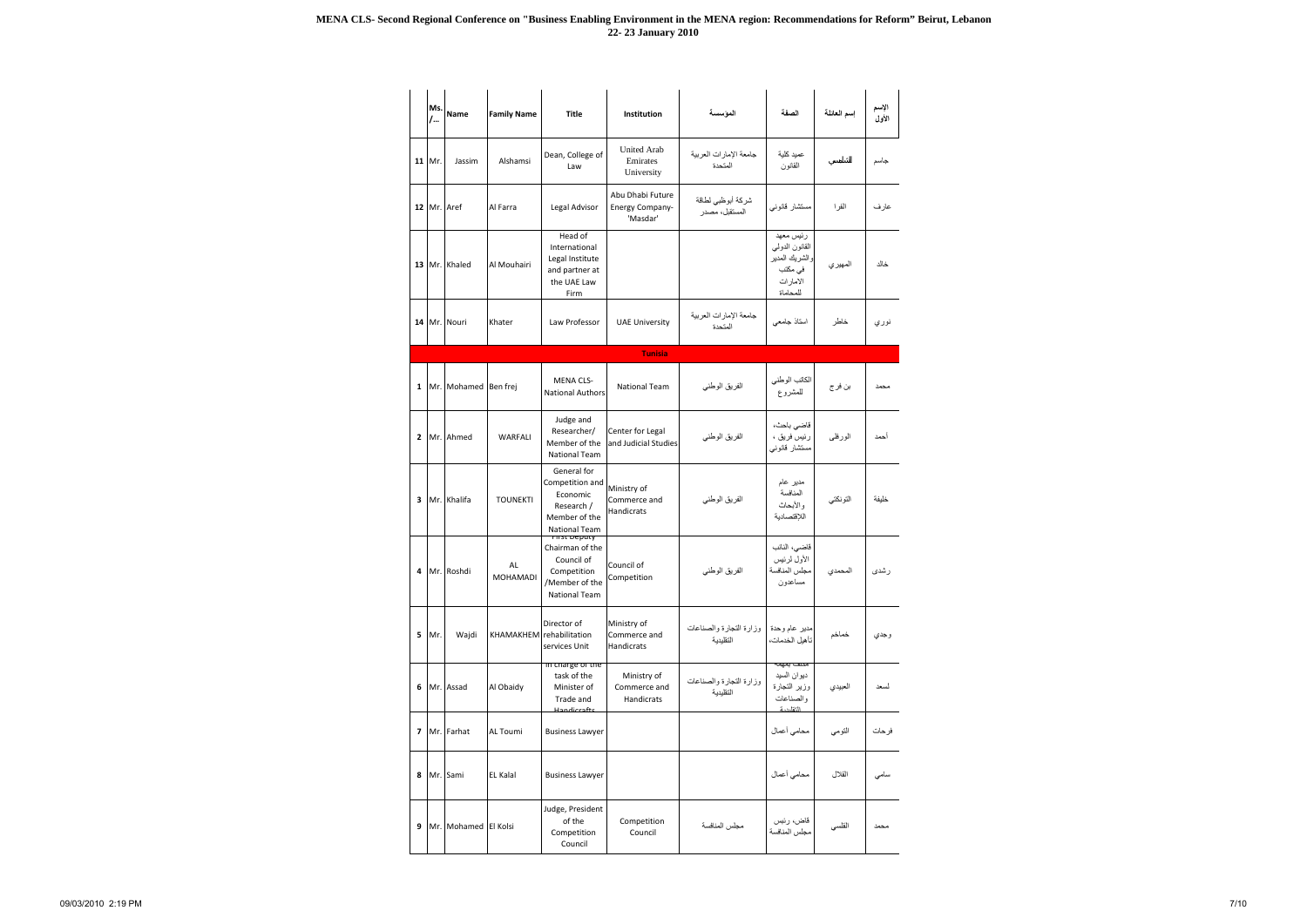|                          | Ms.<br>$/$ | Name                 | <b>Family Name</b> | <b>Title</b>                                                                                          | Institution                                            | المؤسسة                              | الصفة                                                                             | إسم العائلة | الإسم<br>الأول |
|--------------------------|------------|----------------------|--------------------|-------------------------------------------------------------------------------------------------------|--------------------------------------------------------|--------------------------------------|-----------------------------------------------------------------------------------|-------------|----------------|
|                          | 11 Mr.     | Jassim               | Alshamsi           | Dean, College of<br>Law                                                                               | <b>United Arab</b><br>Emirates<br>University           | جامعة الإمارات العربية<br>المتحدة    | عميد كلية<br>القانون                                                              |             | جاسم           |
|                          |            | 12 Mr. Aref          | Al Farra           | Legal Advisor                                                                                         | Abu Dhabi Future<br><b>Energy Company-</b><br>'Masdar' | شركة أبوظبي لطاقة<br>المستقبل، مصدر  | مستشار قانوني                                                                     | الفر ا      | عارف           |
| 13                       |            | Mr. Khaled           | Al Mouhairi        | Head of<br>International<br>Legal Institute<br>and partner at<br>the UAE Law<br>Firm                  |                                                        |                                      | رئيس معهد<br>القانون الدولمي<br>والشريك المدير<br>في مكتب<br>الامارات<br>للمحاماة | المهير ي    | خالد           |
|                          |            | 14 Mr. Nouri         | Khater             | Law Professor                                                                                         | <b>UAE University</b>                                  | جامعة الإمارات العربية<br>المتحدة    | استاذ جامعي                                                                       | خاطر        | نوري           |
|                          |            |                      |                    |                                                                                                       | <b>Tunisia</b>                                         |                                      |                                                                                   |             |                |
| $\mathbf{1}$             |            | Mr. Mohamed Ben frej |                    | <b>MENA CLS-</b><br><b>National Authors</b>                                                           | <b>National Team</b>                                   | الفريق الوطني                        | الكاتب الوطني<br>للمشروع                                                          | بن فر ج     | محمد           |
| $\overline{2}$           |            | Mr. Ahmed            | <b>WARFALI</b>     | Judge and<br>Researcher/<br>Member of the<br>National Team                                            | Center for Legal<br>and Judicial Studies               | الفريق الوطني                        | قاضى باحث،<br>رئيس فريق ،<br>مستشار قانوني                                        | الورفلي     | أحمد           |
| 3                        |            | Mr. Khalifa          | <b>TOUNEKTI</b>    | General for<br>Competition and<br>Economic<br>Research /<br>Member of the<br>National Team            | Ministry of<br>Commerce and<br>Handicrats              | الفريق الوطني                        | مدير عام<br>المنافسة<br>والأبحاث<br>اللاقتصادية                                   | التونكتي    | خليفة          |
| 4                        |            | Mr. Roshdi           | AL<br>MOHAMADI     | rnst beputy<br>Chairman of the<br>Council of<br>Competition<br>/Member of the<br><b>National Team</b> | Council of<br>Competition                              | الفريق الوطني                        | قاضى، النائب<br>الأول لرئيس<br>مجلس المنافسة<br>مساعدون                           | المحمدى     | رشدي           |
| 5                        | Mr.        | Wajdi                | KHAMAKHEM          | Director of<br>rehabilitation<br>services Unit                                                        | Ministry of<br>Commerce and<br>Handicrats              | وزارة التجارة والصناعات<br>التقليدية | مدير عام وحدة<br>تأهيل الخدمات،                                                   | خماخم       | وجدي           |
| 6                        |            | Mr. Assad            | Al Obaidy          | <del>in charge or the</del><br>task of the<br>Minister of<br>Trade and<br>Handicrafts                 | Ministry of<br>Commerce and<br>Handicrats              | وزارة التجارة والصناعات<br>التقليدية | مصعب بمهمه<br>ديوان السيد<br>وزير التجارة<br>والصناعات<br>التقاردية               | العبيدى     | لسعد           |
| $\overline{\phantom{a}}$ |            | Mr. Farhat           | <b>AL Toumi</b>    | <b>Business Lawyer</b>                                                                                |                                                        |                                      | محامي أعمال                                                                       | التومي      | فرحات          |
| 8                        |            | Mr. Sami             | <b>EL Kalal</b>    | <b>Business Lawyer</b>                                                                                |                                                        |                                      | محامي أعمال                                                                       | القلال      | سامى           |
| 9                        |            | Mr. Mohamed El Kolsi |                    | Judge, President<br>of the<br>Competition<br>Council                                                  | Competition<br>Council                                 | مجلس المنافسة                        | قاض، رئبس<br>مجلس المنافسة                                                        | القلسي      | محمد           |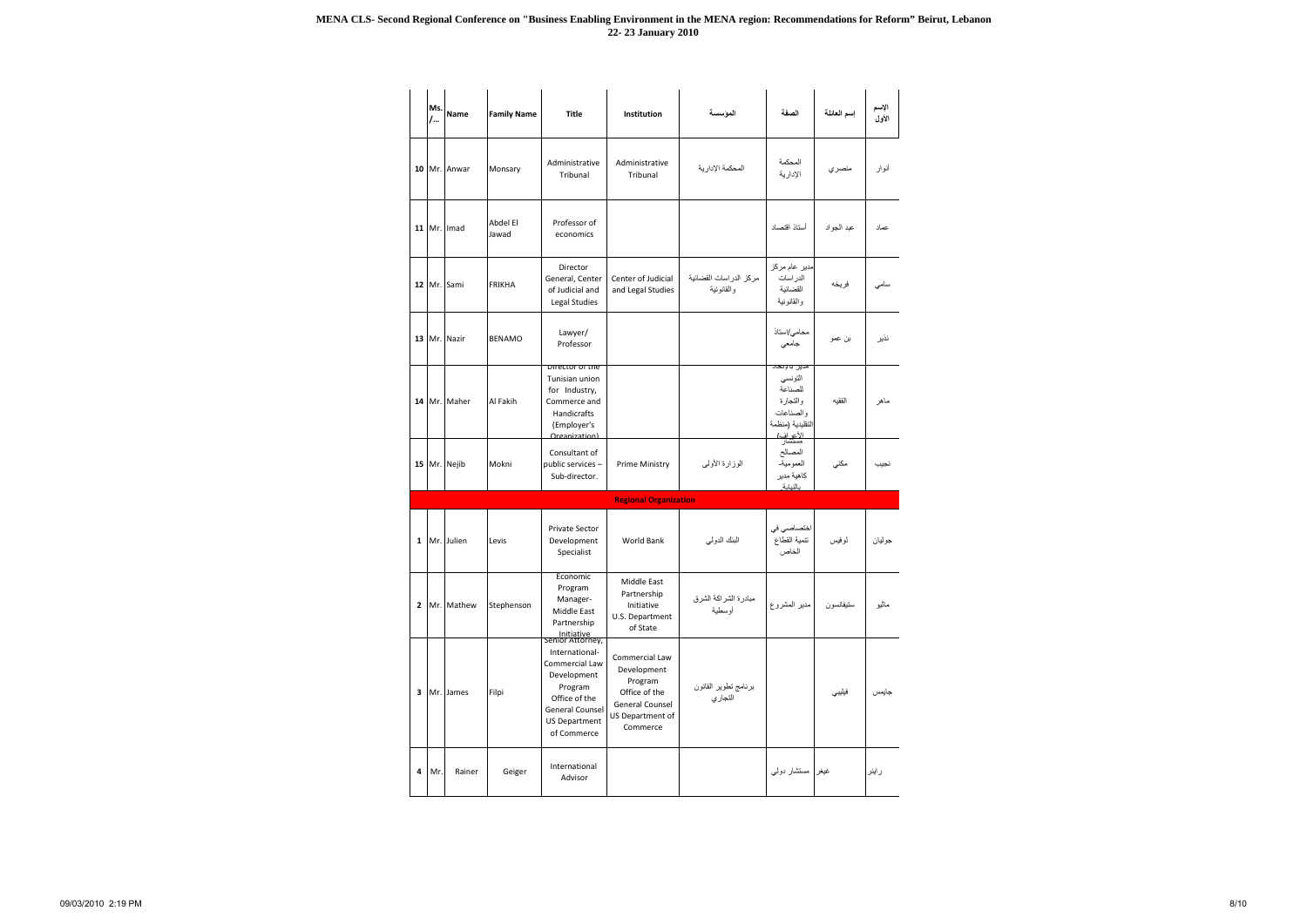|              | Ms.<br>$/$ | <b>Name</b>  | <b>Family Name</b> | <b>Title</b>                                                                                                                          | Institution                                                                                                         | الموسسة                              | الصفة                                                                                                                 | إسم العائلة | الإسم<br>الأول |
|--------------|------------|--------------|--------------------|---------------------------------------------------------------------------------------------------------------------------------------|---------------------------------------------------------------------------------------------------------------------|--------------------------------------|-----------------------------------------------------------------------------------------------------------------------|-------------|----------------|
| 10           |            | Mr. Anwar    | Monsary            | Administrative<br>Tribunal                                                                                                            | Administrative<br>Tribunal                                                                                          | المحكمة الإدارية                     | المحكمة<br>الإدارية                                                                                                   | منصري       | أنوار          |
|              |            | 11 Mr. Imad  | Abdel El<br>Jawad  | Professor of<br>economics                                                                                                             |                                                                                                                     |                                      | أستاذ اقتصاد                                                                                                          | عبد الجواد  | عماد           |
|              |            | 12 Mr. Sami  | <b>FRIKHA</b>      | Director<br>General, Center<br>of Judicial and<br>Legal Studies                                                                       | Center of Judicial<br>and Legal Studies                                                                             | مركز الدراسات القضائية<br>والقانونية | مدیر عام مرکز<br>الدر اسات<br>القضائية<br>والقانونية                                                                  | فريخه       | سامي           |
| 13           |            | Mr. Nazir    | <b>BENAMO</b>      | Lawyer/<br>Professor                                                                                                                  |                                                                                                                     |                                      | محامي/استاذ<br>جامعي                                                                                                  | بن عمو      | نذير           |
|              |            | 14 Mr. Maher | Al Fakih           | Director of the<br>Tunisian union<br>for Industry,<br>Commerce and<br>Handicrafts<br>(Employer's<br>Organization                      |                                                                                                                     |                                      | مدير بالإنحا <i>د</i><br>التونسي<br>للصناعة<br>والتجارة<br>والصناعات<br>التقليدية (منظمة<br><u>الأعراف)</u><br>مستشار | الفقيه      | ماهر           |
|              |            | 15 Mr. Nejib | Mokni              | Consultant of<br>public services -<br>Sub-director.                                                                                   | <b>Prime Ministry</b>                                                                                               | الوزارة الأولىي                      | المصالح<br>العمومية<br>كاهية مدير<br>بالنبابة                                                                         | مكني        | نجيب           |
|              |            |              |                    |                                                                                                                                       | <b>Regional Organization</b>                                                                                        |                                      |                                                                                                                       |             |                |
| $\mathbf{1}$ |            | Mr. Julien   | Levis              | <b>Private Sector</b><br>Development<br>Specialist                                                                                    | World Bank                                                                                                          | البنك الدولي                         | اختصاصي في<br>تنمية القطاع<br>الخاص                                                                                   | لموفيس      | جوليان         |
| $\mathbf{2}$ |            | Mr. Mathew   | Stephenson         | Economic<br>Program<br>Manager-<br>Middle East<br>Partnership<br>Initiative<br>Senior Attorney,                                       | Middle East<br>Partnership<br>Initiative<br>U.S. Department<br>of State                                             | مبادرة الشراكة الشرق<br>أوسطية       | مدير المشروع                                                                                                          | ستيفانسو ن  | مائيو          |
| 3            |            | Mr. James    | Filpi              | International-<br>Commercial Law<br>Development<br>Program<br>Office of the<br>General Counsel<br><b>US Department</b><br>of Commerce | Commercial Law<br>Development<br>Program<br>Office of the<br><b>General Counsel</b><br>US Department of<br>Commerce | برنامج تطوير القانون<br>التجاري      |                                                                                                                       | فيليبى      | جايمس          |
| 4            | Mr.        | Rainer       | Geiger             | International<br>Advisor                                                                                                              |                                                                                                                     |                                      | غيغر   مستشار دولي                                                                                                    |             | راينر          |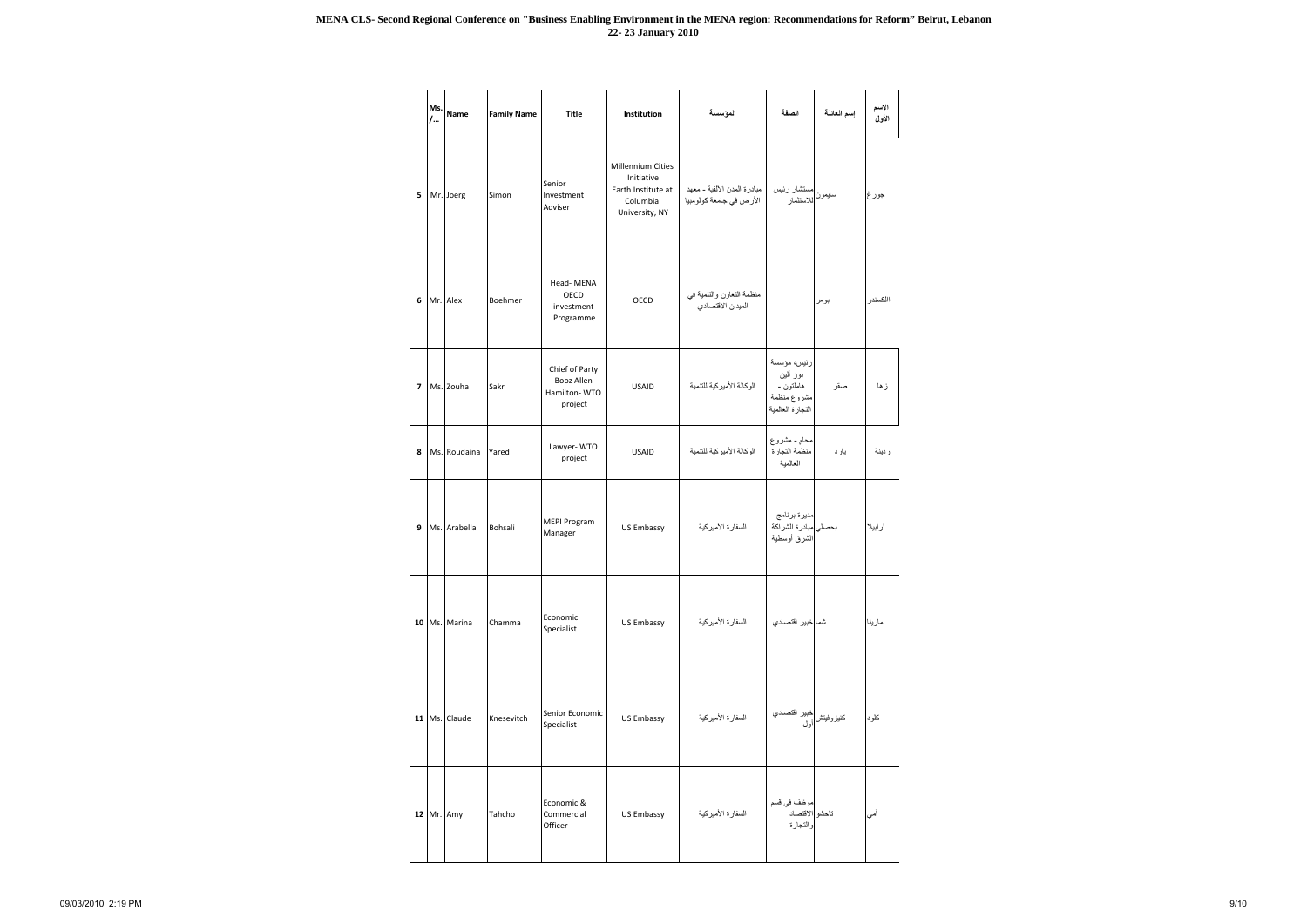|                          | Ms.<br>$\overline{1}$ | <b>Name</b>   | <b>Family Name</b> | <b>Title</b>                                            | Institution                                                                                | المؤسسة                                                | الصفة                                                                   | إسم العائلة | الإسم<br>الأول |
|--------------------------|-----------------------|---------------|--------------------|---------------------------------------------------------|--------------------------------------------------------------------------------------------|--------------------------------------------------------|-------------------------------------------------------------------------|-------------|----------------|
| 5                        |                       | Mr. Joerg     | Simon              | Senior<br>Investment<br>Adviser                         | <b>Millennium Cities</b><br>Initiative<br>Earth Institute at<br>Columbia<br>University, NY | مبادرة المدن الألفية - معهد<br>الأرض في جامعة كولومبيا | مستشار رئيس<br>سايمون <mark>للاستثمار</mark>                            |             | جورغ           |
| 6                        |                       | Mr. Alex      | Boehmer            | Head-MENA<br>OECD<br>investment<br>Programme            | OECD                                                                                       | منظمة التعاون والتنمية في<br>الميدان الاقتصادي         |                                                                         | بومر        | االكسندر       |
| $\overline{\phantom{a}}$ |                       | Ms. Zouha     | Sakr               | Chief of Party<br>Booz Allen<br>Hamilton-WTO<br>project | <b>USAID</b>                                                                               | الوكالة الأميركية للتنمية                              | رئيس، مؤسسة<br>بوز ألين<br>هاملتون -<br>مشروع منظمة<br>التجارة العالمية | صقر         | زها            |
| 8                        |                       | Ms. Roudaina  | Yared              | Lawyer-WTO<br>project                                   | <b>USAID</b>                                                                               | الوكالة الأميركية للتنمية                              | محام - مشروع<br>منظمة التجارة<br>العالمية                               | يارد        | ردينة          |
| 9                        |                       | Ms. Arabella  | Bohsali            | <b>MEPI Program</b><br>Manager                          | <b>US Embassy</b>                                                                          | السفارة الأميركية                                      | مديرة برنامج<br>بحصلي مبادرة الشراكة<br>الشرق أوسطية                    |             | أرابيلا        |
|                          |                       | 10 Ms. Marina | Chamma             | Economic<br>Specialist                                  | <b>US Embassy</b>                                                                          | السفار ة الأمير كية                                    | شما <mark>خبير اقتصادي</mark>                                           |             | مارينا         |
|                          |                       | 11 Ms. Claude | Knesevitch         | Senior Economic<br>Specialist                           | <b>US Embassy</b>                                                                          | السفارة الأميركية                                      | خبير اقتصادي<br>كنيزوفيتش <mark>أول</mark>                              |             | كلود           |
|                          |                       | 12 Mr. Amy    | Tahcho             | Economic &<br>Commercial<br>Officer                     | <b>US Embassy</b>                                                                          | السفار ة الأمير كية                                    | موظف في قسم<br>تاحشو الاقتصاد<br>والتجارة                               |             | أمي            |